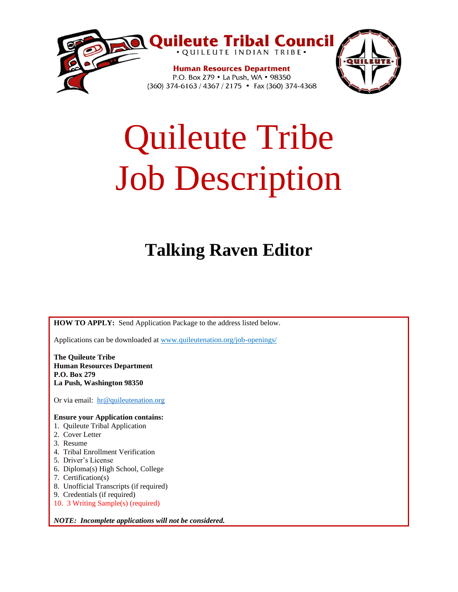

# Quileute Tribe Job Description

# **Talking Raven Editor**

**HOW TO APPLY:** Send Application Package to the address listed below.

Applications can be downloaded at www.quileutenation.org/job-openings/

**The Quileute Tribe Human Resources Department P.O. Box 279 La Push, Washington 98350**

Or via email: [hr@quileutenation.org](mailto:hr@quileutenation.org)

#### **Ensure your Application contains:**

- 1. Quileute Tribal Application
- 2. Cover Letter
- 3. Resume
- 4. Tribal Enrollment Verification
- 5. Driver's License
- 6. Diploma(s) High School, College
- 7. Certification(s)
- 8. Unofficial Transcripts (if required)
- 9. Credentials (if required)
- 10. 3 Writing Sample(s) (required)

*NOTE: Incomplete applications will not be considered.*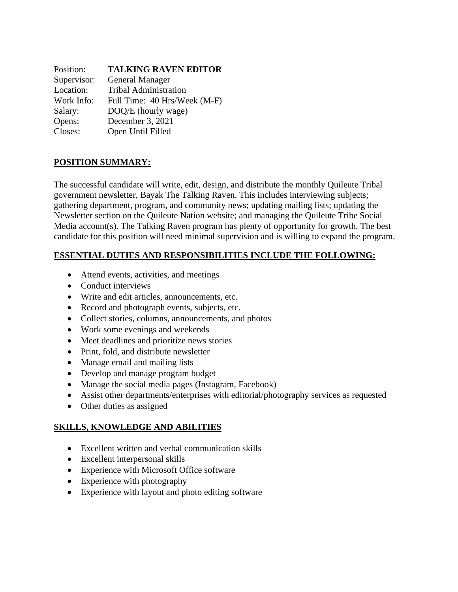| Position:   | <b>TALKING RAVEN EDITOR</b>  |
|-------------|------------------------------|
| Supervisor: | <b>General Manager</b>       |
| Location:   | <b>Tribal Administration</b> |
| Work Info:  | Full Time: 40 Hrs/Week (M-F) |
| Salary:     | DOQ/E (hourly wage)          |
| Opens:      | December 3, 2021             |
| Closes:     | Open Until Filled            |

# **POSITION SUMMARY:**

The successful candidate will write, edit, design, and distribute the monthly Quileute Tribal government newsletter, Bayak The Talking Raven. This includes interviewing subjects; gathering department, program, and community news; updating mailing lists; updating the Newsletter section on the Quileute Nation website; and managing the Quileute Tribe Social Media account(s). The Talking Raven program has plenty of opportunity for growth. The best candidate for this position will need minimal supervision and is willing to expand the program.

#### **ESSENTIAL DUTIES AND RESPONSIBILITIES INCLUDE THE FOLLOWING:**

- Attend events, activities, and meetings
- Conduct interviews
- Write and edit articles, announcements, etc.
- Record and photograph events, subjects, etc.
- Collect stories, columns, announcements, and photos
- Work some evenings and weekends
- Meet deadlines and prioritize news stories
- Print, fold, and distribute newsletter
- Manage email and mailing lists
- Develop and manage program budget
- Manage the social media pages (Instagram, Facebook)
- Assist other departments/enterprises with editorial/photography services as requested
- Other duties as assigned

#### **SKILLS, KNOWLEDGE AND ABILITIES**

- Excellent written and verbal communication skills
- Excellent interpersonal skills
- Experience with Microsoft Office software
- Experience with photography
- Experience with layout and photo editing software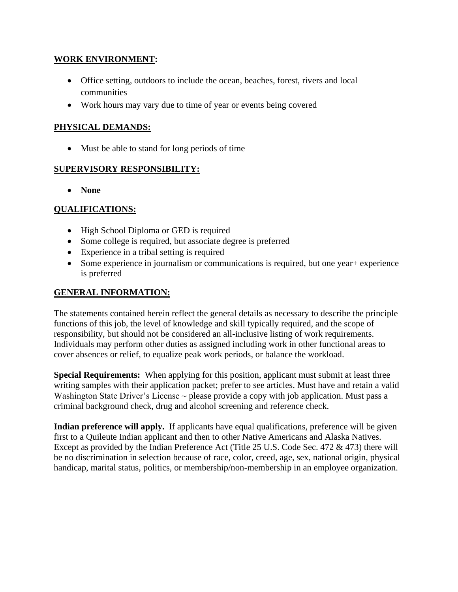#### **WORK ENVIRONMENT:**

- Office setting, outdoors to include the ocean, beaches, forest, rivers and local communities
- Work hours may vary due to time of year or events being covered

#### **PHYSICAL DEMANDS:**

• Must be able to stand for long periods of time

#### **SUPERVISORY RESPONSIBILITY:**

• **None**

#### **QUALIFICATIONS:**

- High School Diploma or GED is required
- Some college is required, but associate degree is preferred
- Experience in a tribal setting is required
- Some experience in journalism or communications is required, but one year + experience is preferred

# **GENERAL INFORMATION:**

The statements contained herein reflect the general details as necessary to describe the principle functions of this job, the level of knowledge and skill typically required, and the scope of responsibility, but should not be considered an all-inclusive listing of work requirements. Individuals may perform other duties as assigned including work in other functional areas to cover absences or relief, to equalize peak work periods, or balance the workload.

**Special Requirements:** When applying for this position, applicant must submit at least three writing samples with their application packet; prefer to see articles. Must have and retain a valid Washington State Driver's License  $\sim$  please provide a copy with job application. Must pass a criminal background check, drug and alcohol screening and reference check.

**Indian preference will apply.** If applicants have equal qualifications, preference will be given first to a Quileute Indian applicant and then to other Native Americans and Alaska Natives. Except as provided by the Indian Preference Act (Title 25 U.S. Code Sec. 472 & 473) there will be no discrimination in selection because of race, color, creed, age, sex, national origin, physical handicap, marital status, politics, or membership/non-membership in an employee organization.